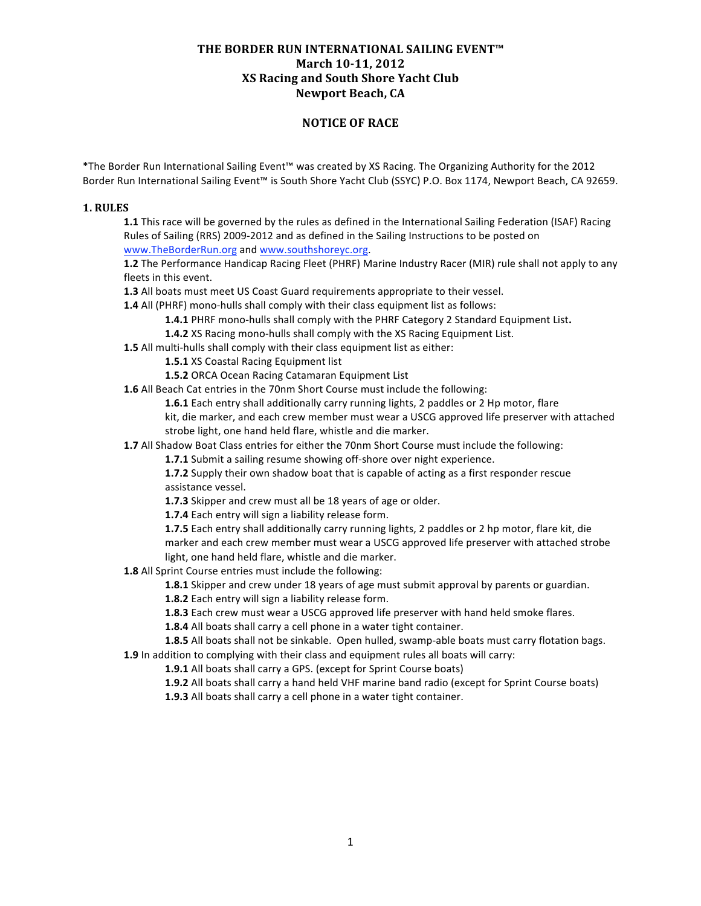# **NOTICE OF RACE**

\*The Border Run International Sailing Event™ was created by XS Racing. The Organizing Authority for the 2012 Border Run International Sailing Event™ is South Shore Yacht Club (SSYC) P.O. Box 1174, Newport Beach, CA 92659.

### **1. RULES**

**1.1** This race will be governed by the rules as defined in the International Sailing Federation (ISAF) Racing Rules of Sailing (RRS) 2009‐2012 and as defined in the Sailing Instructions to be posted on www.TheBorderRun.org and www.southshoreyc.org.

**1.2** The Performance Handicap Racing Fleet (PHRF) Marine Industry Racer (MIR) rule shall not apply to any fleets in this event.

**1.3** All boats must meet US Coast Guard requirements appropriate to their vessel.

**1.4** All (PHRF) mono-hulls shall comply with their class equipment list as follows:

**1.4.1** PHRF mono‐hulls shall comply with the PHRF Category 2 Standard Equipment List**.**

**1.4.2** XS Racing mono-hulls shall comply with the XS Racing Equipment List.

**1.5** All multi-hulls shall comply with their class equipment list as either:

**1.5.1** XS Coastal Racing Equipment list

**1.5.2** ORCA Ocean Racing Catamaran Equipment List

**1.6** All Beach Cat entries in the 70nm Short Course must include the following:

**1.6.1** Each entry shall additionally carry running lights, 2 paddles or 2 Hp motor, flare

kit, die marker, and each crew member must wear a USCG approved life preserver with attached strobe light, one hand held flare, whistle and die marker.

**1.7** All Shadow Boat Class entries for either the 70nm Short Course must include the following:

1.7.1 Submit a sailing resume showing off-shore over night experience.

**1.7.2** Supply their own shadow boat that is capable of acting as a first responder rescue assistance vessel.

**1.7.3** Skipper and crew must all be 18 years of age or older.

**1.7.4** Each entry will sign a liability release form.

**1.7.5** Each entry shall additionally carry running lights, 2 paddles or 2 hp motor, flare kit, die marker and each crew member must wear a USCG approved life preserver with attached strobe light, one hand held flare, whistle and die marker.

**1.8** All Sprint Course entries must include the following:

**1.8.1** Skipper and crew under 18 years of age must submit approval by parents or guardian.

**1.8.2** Each entry will sign a liability release form.

**1.8.3** Each crew must wear a USCG approved life preserver with hand held smoke flares.

**1.8.4** All boats shall carry a cell phone in a water tight container.

1.8.5 All boats shall not be sinkable. Open hulled, swamp-able boats must carry flotation bags. **1.9** In addition to complying with their class and equipment rules all boats will carry:

**1.9.1** All boats shall carry a GPS. (except for Sprint Course boats)

**1.9.2** All boats shall carry a hand held VHF marine band radio (except for Sprint Course boats)

**1.9.3** All boats shall carry a cell phone in a water tight container.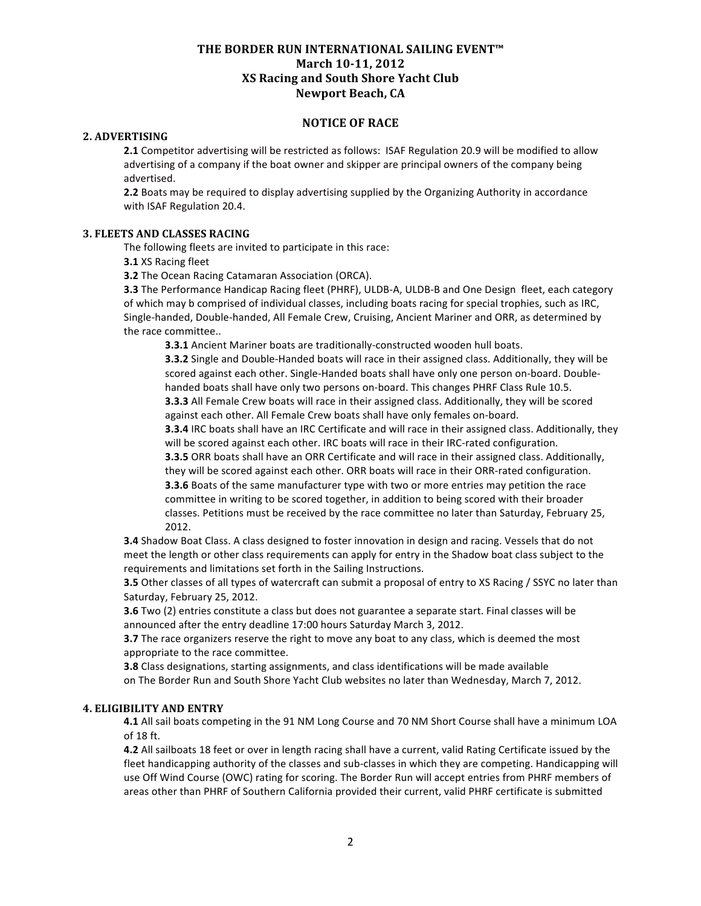## **NOTICE OF RACE**

#### **2. ADVERTISING**

**2.1** Competitor advertising will be restricted as follows: ISAF Regulation 20.9 will be modified to allow advertising of a company if the boat owner and skipper are principal owners of the company being advertised.

**2.2** Boats may be required to display advertising supplied by the Organizing Authority in accordance with ISAF Regulation 20.4.

### **3. FLEETS AND CLASSES RACING**

The following fleets are invited to participate in this race:

**3.1** XS Racing fleet

**3.2** The Ocean Racing Catamaran Association (ORCA).

**3.3** The Performance Handicap Racing fleet (PHRF), ULDB‐A, ULDB‐B and One Design fleet, each category of which may b comprised of individual classes, including boats racing for special trophies, such as IRC, Single‐handed, Double‐handed, All Female Crew, Cruising, Ancient Mariner and ORR, as determined by the race committee..

**3.3.1** Ancient Mariner boats are traditionally-constructed wooden hull boats.

**3.3.2** Single and Double‐Handed boats will race in their assigned class. Additionally, they will be scored against each other. Single-Handed boats shall have only one person on-board. Doublehanded boats shall have only two persons on-board. This changes PHRF Class Rule 10.5. **3.3.3** All Female Crew boats will race in their assigned class. Additionally, they will be scored against each other. All Female Crew boats shall have only females on‐board.

**3.3.4** IRC boats shall have an IRC Certificate and will race in their assigned class. Additionally, they will be scored against each other. IRC boats will race in their IRC-rated configuration.

**3.3.5** ORR boats shall have an ORR Certificate and will race in their assigned class. Additionally, they will be scored against each other. ORR boats will race in their ORR-rated configuration.

**3.3.6** Boats of the same manufacturer type with two or more entries may petition the race committee in writing to be scored together, in addition to being scored with their broader classes. Petitions must be received by the race committee no later than Saturday, February 25, 2012.

**3.4** Shadow Boat Class. A class designed to foster innovation in design and racing. Vessels that do not meet the length or other class requirements can apply for entry in the Shadow boat class subject to the requirements and limitations set forth in the Sailing Instructions.

**3.5** Other classes of all types of watercraft can submit a proposal of entry to XS Racing / SSYC no later than Saturday, February 25, 2012.

**3.6** Two (2) entries constitute a class but does not guarantee a separate start. Final classes will be announced after the entry deadline 17:00 hours Saturday March 3, 2012.

**3.7** The race organizers reserve the right to move any boat to any class, which is deemed the most appropriate to the race committee.

**3.8** Class designations, starting assignments, and class identifications will be made available on The Border Run and South Shore Yacht Club websites no later than Wednesday, March 7, 2012.

## **4. ELIGIBILITY AND ENTRY**

**4.1** All sail boats competing in the 91 NM Long Course and 70 NM Short Course shall have a minimum LOA of 18 ft.

**4.2** All sailboats 18 feet or over in length racing shall have a current, valid Rating Certificate issued by the fleet handicapping authority of the classes and sub-classes in which they are competing. Handicapping will use Off Wind Course (OWC) rating for scoring. The Border Run will accept entries from PHRF members of areas other than PHRF of Southern California provided their current, valid PHRF certificate is submitted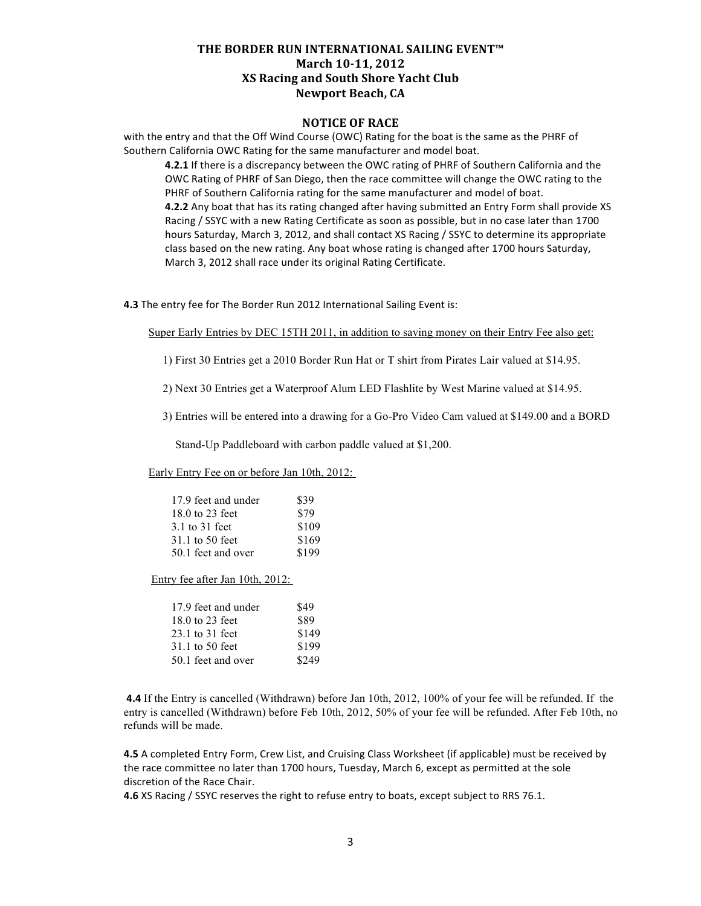## **NOTICE OF RACE**

with the entry and that the Off Wind Course (OWC) Rating for the boat is the same as the PHRF of Southern California OWC Rating for the same manufacturer and model boat.

**4.2.1** If there is a discrepancy between the OWC rating of PHRF of Southern California and the OWC Rating of PHRF of San Diego, then the race committee will change the OWC rating to the PHRF of Southern California rating for the same manufacturer and model of boat. **4.2.2** Any boat that has its rating changed after having submitted an Entry Form shall provide XS Racing / SSYC with a new Rating Certificate as soon as possible, but in no case later than 1700 hours Saturday, March 3, 2012, and shall contact XS Racing / SSYC to determine its appropriate class based on the new rating. Any boat whose rating is changed after 1700 hours Saturday, March 3, 2012 shall race under its original Rating Certificate.

**4.3** The entry fee for The Border Run 2012 International Sailing Event is:

Super Early Entries by DEC 15TH 2011, in addition to saving money on their Entry Fee also get:

1) First 30 Entries get a 2010 Border Run Hat or T shirt from Pirates Lair valued at \$14.95.

2) Next 30 Entries get a Waterproof Alum LED Flashlite by West Marine valued at \$14.95.

3) Entries will be entered into a drawing for a Go-Pro Video Cam valued at \$149.00 and a BORD

Stand-Up Paddleboard with carbon paddle valued at \$1,200.

Early Entry Fee on or before Jan 10th, 2012:

| 17.9 feet and under | \$39  |
|---------------------|-------|
| 18.0 to 23 feet     | \$79  |
| 3.1 to 31 feet      | \$109 |
| 31.1 to 50 feet     | \$169 |
| 50.1 feet and over  | \$199 |

Entry fee after Jan 10th, 2012:

| 17.9 feet and under | \$49  |
|---------------------|-------|
| 18.0 to 23 feet     | \$89  |
| 23.1 to 31 feet     | \$149 |
| 31.1 to 50 feet     | \$199 |
| 50.1 feet and over  | \$249 |

 **4.4** If the Entry is cancelled (Withdrawn) before Jan 10th, 2012, 100% of your fee will be refunded. If the entry is cancelled (Withdrawn) before Feb 10th, 2012, 50% of your fee will be refunded. After Feb 10th, no refunds will be made.

**4.5** A completed Entry Form, Crew List, and Cruising Class Worksheet (if applicable) must be received by the race committee no later than 1700 hours, Tuesday, March 6, except as permitted at the sole discretion of the Race Chair.

**4.6** XS Racing / SSYC reserves the right to refuse entry to boats, except subject to RRS 76.1.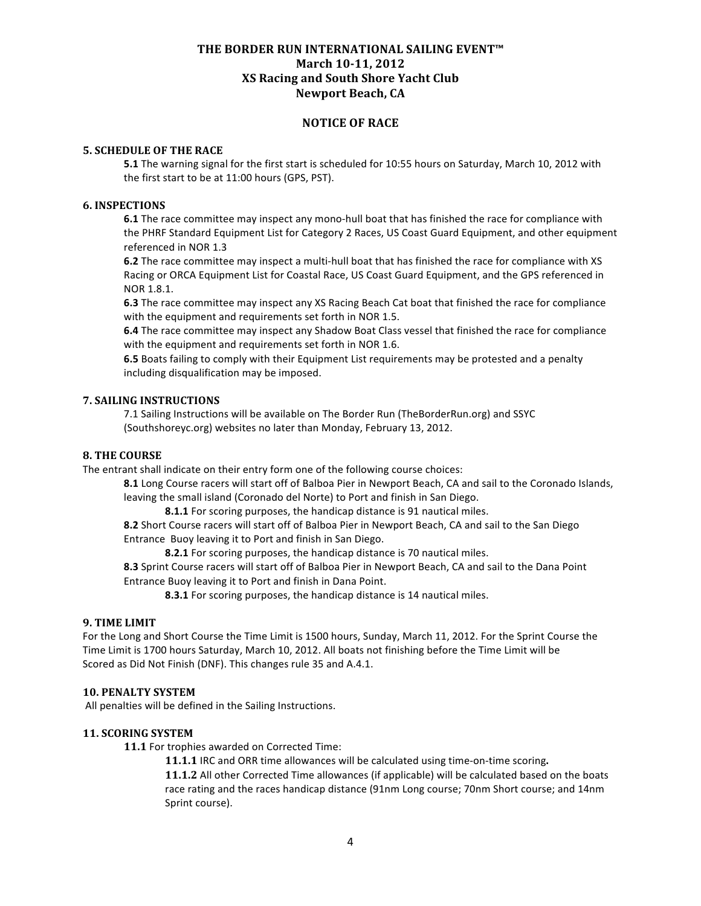# **NOTICE OF RACE**

### **5. SCHEDULE OF THE RACE**

**5.1** The warning signal for the first start is scheduled for 10:55 hours on Saturday, March 10, 2012 with the first start to be at 11:00 hours (GPS, PST).

#### **6. INSPECTIONS**

**6.1** The race committee may inspect any mono-hull boat that has finished the race for compliance with the PHRF Standard Equipment List for Category 2 Races, US Coast Guard Equipment, and other equipment referenced in NOR 1.3

**6.2** The race committee may inspect a multi-hull boat that has finished the race for compliance with XS Racing or ORCA Equipment List for Coastal Race, US Coast Guard Equipment, and the GPS referenced in NOR 1.8.1.

**6.3** The race committee may inspect any XS Racing Beach Cat boat that finished the race for compliance with the equipment and requirements set forth in NOR 1.5.

**6.4** The race committee may inspect any Shadow Boat Class vessel that finished the race for compliance with the equipment and requirements set forth in NOR 1.6.

**6.5** Boats failing to comply with their Equipment List requirements may be protested and a penalty including disqualification may be imposed.

# **7. SAILING INSTRUCTIONS**

7.1 Sailing Instructions will be available on The Border Run (TheBorderRun.org) and SSYC (Southshoreyc.org) websites no later than Monday, February 13, 2012.

### **8. THE COURSE**

The entrant shall indicate on their entry form one of the following course choices:

**8.1** Long Course racers will start off of Balboa Pier in Newport Beach, CA and sail to the Coronado Islands, leaving the small island (Coronado del Norte) to Port and finish in San Diego.

**8.1.1** For scoring purposes, the handicap distance is 91 nautical miles.

**8.2** Short Course racers will start off of Balboa Pier in Newport Beach, CA and sail to the San Diego Entrance Buoy leaving it to Port and finish in San Diego.

**8.2.1** For scoring purposes, the handicap distance is 70 nautical miles.

**8.3** Sprint Course racers will start off of Balboa Pier in Newport Beach, CA and sail to the Dana Point Entrance Buoy leaving it to Port and finish in Dana Point.

**8.3.1** For scoring purposes, the handicap distance is 14 nautical miles.

## **9. TIME LIMIT**

For the Long and Short Course the Time Limit is 1500 hours, Sunday, March 11, 2012. For the Sprint Course the Time Limit is 1700 hours Saturday, March 10, 2012. All boats not finishing before the Time Limit will be Scored as Did Not Finish (DNF). This changes rule 35 and A.4.1.

#### **10. PENALTY SYSTEM**

All penalties will be defined in the Sailing Instructions.

## **11. SCORING SYSTEM**

**11.1** For trophies awarded on Corrected Time:

**11.1.1** IRC and ORR time allowances will be calculated using time‐on‐time scoring**. 11.1.2** All other Corrected Time allowances (if applicable) will be calculated based on the boats race rating and the races handicap distance (91nm Long course; 70nm Short course; and 14nm Sprint course).